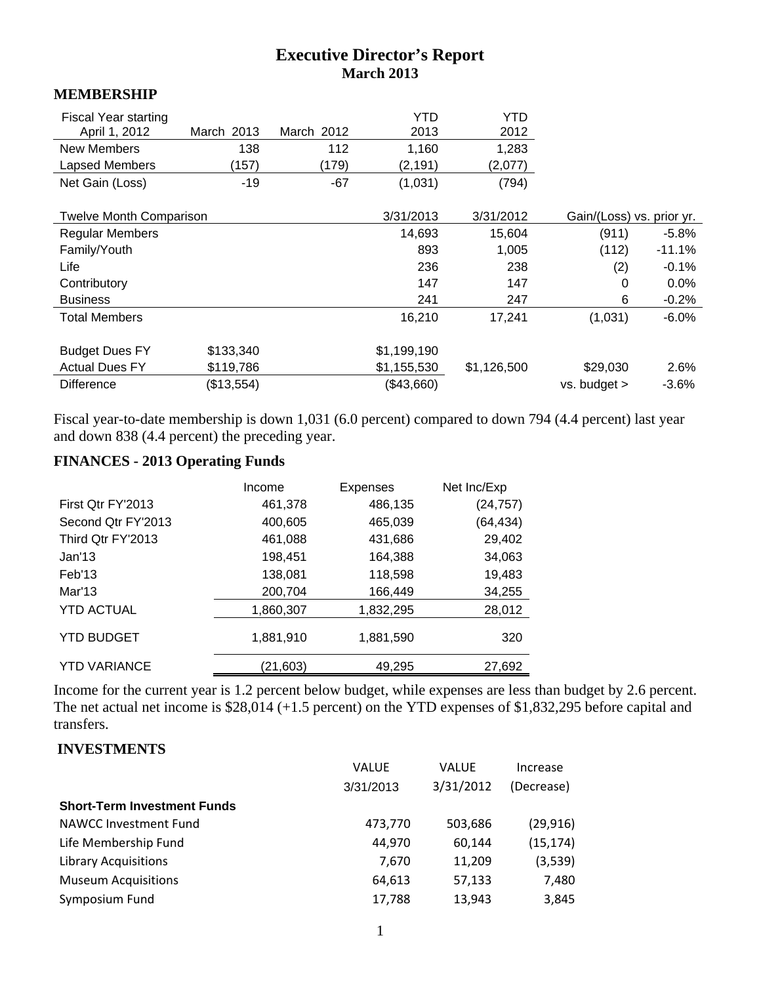## **Executive Director's Report March 2013**

#### **MEMBERSHIP**

| <b>Fiscal Year starting</b><br>April 1, 2012<br><b>New Members</b> | March 2013<br>138 | March 2012<br>112 | YTD<br>2013<br>1,160 | YTD<br>2012<br>1,283 |                           |          |
|--------------------------------------------------------------------|-------------------|-------------------|----------------------|----------------------|---------------------------|----------|
| Lapsed Members<br>Net Gain (Loss)                                  | (157)<br>$-19$    | (179)<br>$-67$    | (2, 191)<br>(1,031)  | (2,077)<br>(794)     |                           |          |
|                                                                    |                   |                   |                      |                      |                           |          |
| <b>Twelve Month Comparison</b>                                     |                   |                   | 3/31/2013            | 3/31/2012            | Gain/(Loss) vs. prior yr. |          |
| <b>Regular Members</b>                                             |                   |                   | 14,693               | 15,604               | (911)                     | $-5.8%$  |
| Family/Youth                                                       |                   |                   | 893                  | 1,005                | (112)                     | $-11.1%$ |
| Life                                                               |                   |                   | 236                  | 238                  | (2)                       | $-0.1%$  |
| Contributory                                                       |                   |                   | 147                  | 147                  | 0                         | $0.0\%$  |
| <b>Business</b>                                                    |                   |                   | 241                  | 247                  | 6                         | $-0.2\%$ |
| <b>Total Members</b>                                               |                   |                   | 16,210               | 17,241               | (1,031)                   | $-6.0%$  |
|                                                                    |                   |                   |                      |                      |                           |          |
| <b>Budget Dues FY</b>                                              | \$133,340         |                   | \$1,199,190          |                      |                           |          |
| <b>Actual Dues FY</b>                                              | \$119,786         |                   | \$1,155,530          | \$1,126,500          | \$29,030                  | 2.6%     |
| <b>Difference</b>                                                  | (\$13,554)        |                   | (\$43,660)           |                      | $vs.$ budget $>$          | $-3.6%$  |

Fiscal year-to-date membership is down 1,031 (6.0 percent) compared to down 794 (4.4 percent) last year and down 838 (4.4 percent) the preceding year.

# **FINANCES - 2013 Operating Funds**

|                     | Income    | <b>Expenses</b> | Net Inc/Exp |
|---------------------|-----------|-----------------|-------------|
| First Qtr FY'2013   | 461,378   | 486,135         | (24, 757)   |
| Second Otr FY'2013  | 400,605   | 465,039         | (64, 434)   |
| Third Qtr FY'2013   | 461,088   | 431,686         | 29,402      |
| Jan'13              | 198,451   | 164,388         | 34,063      |
| Feb'13              | 138,081   | 118,598         | 19,483      |
| Mar'13              | 200,704   | 166,449         | 34,255      |
| <b>YTD ACTUAL</b>   | 1,860,307 | 1,832,295       | 28,012      |
| <b>YTD BUDGET</b>   | 1,881,910 | 1,881,590       | 320         |
| <b>YTD VARIANCE</b> | (21, 603) | 49,295          | 27,692      |

Income for the current year is 1.2 percent below budget, while expenses are less than budget by 2.6 percent. The net actual net income is \$28,014 (+1.5 percent) on the YTD expenses of \$1,832,295 before capital and transfers.

#### **INVESTMENTS**

|                                    | <b>VALUE</b> | VALUE     | Increase   |
|------------------------------------|--------------|-----------|------------|
|                                    | 3/31/2013    | 3/31/2012 | (Decrease) |
| <b>Short-Term Investment Funds</b> |              |           |            |
| NAWCC Investment Fund              | 473,770      | 503,686   | (29, 916)  |
| Life Membership Fund               | 44,970       | 60,144    | (15, 174)  |
| <b>Library Acquisitions</b>        | 7,670        | 11,209    | (3,539)    |
| <b>Museum Acquisitions</b>         | 64,613       | 57,133    | 7,480      |
| Symposium Fund                     | 17,788       | 13,943    | 3,845      |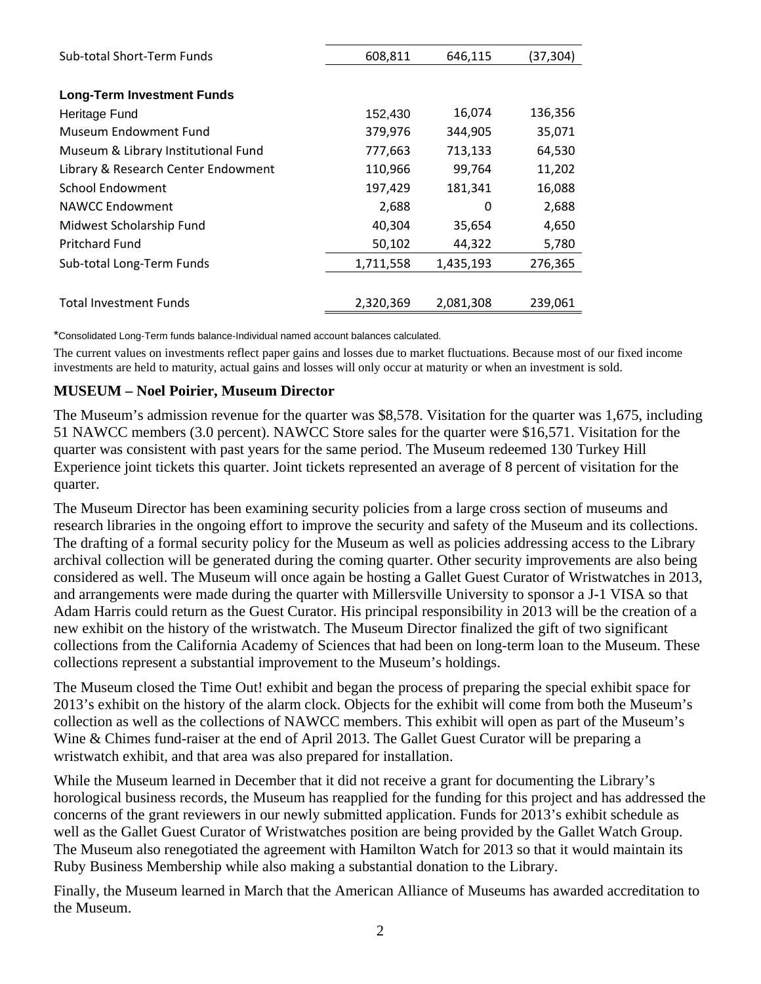| Sub-total Short-Term Funds          | 608,811   | 646,115   | (37,304) |
|-------------------------------------|-----------|-----------|----------|
|                                     |           |           |          |
| <b>Long-Term Investment Funds</b>   |           |           |          |
| Heritage Fund                       | 152,430   | 16,074    | 136,356  |
| Museum Endowment Fund               | 379,976   | 344,905   | 35,071   |
| Museum & Library Institutional Fund | 777,663   | 713,133   | 64,530   |
| Library & Research Center Endowment | 110,966   | 99,764    | 11,202   |
| School Endowment                    | 197,429   | 181,341   | 16,088   |
| NAWCC Endowment                     | 2,688     | 0         | 2,688    |
| Midwest Scholarship Fund            | 40,304    | 35,654    | 4,650    |
| <b>Pritchard Fund</b>               | 50,102    | 44,322    | 5,780    |
| Sub-total Long-Term Funds           | 1,711,558 | 1,435,193 | 276,365  |
|                                     |           |           |          |
| <b>Total Investment Funds</b>       | 2,320,369 | 2,081,308 | 239,061  |

\*Consolidated Long-Term funds balance-Individual named account balances calculated.

The current values on investments reflect paper gains and losses due to market fluctuations. Because most of our fixed income investments are held to maturity, actual gains and losses will only occur at maturity or when an investment is sold.

#### **MUSEUM – Noel Poirier, Museum Director**

The Museum's admission revenue for the quarter was \$8,578. Visitation for the quarter was 1,675, including 51 NAWCC members (3.0 percent). NAWCC Store sales for the quarter were \$16,571. Visitation for the quarter was consistent with past years for the same period. The Museum redeemed 130 Turkey Hill Experience joint tickets this quarter. Joint tickets represented an average of 8 percent of visitation for the quarter.

The Museum Director has been examining security policies from a large cross section of museums and research libraries in the ongoing effort to improve the security and safety of the Museum and its collections. The drafting of a formal security policy for the Museum as well as policies addressing access to the Library archival collection will be generated during the coming quarter. Other security improvements are also being considered as well. The Museum will once again be hosting a Gallet Guest Curator of Wristwatches in 2013, and arrangements were made during the quarter with Millersville University to sponsor a J-1 VISA so that Adam Harris could return as the Guest Curator. His principal responsibility in 2013 will be the creation of a new exhibit on the history of the wristwatch. The Museum Director finalized the gift of two significant collections from the California Academy of Sciences that had been on long-term loan to the Museum. These collections represent a substantial improvement to the Museum's holdings.

The Museum closed the Time Out! exhibit and began the process of preparing the special exhibit space for 2013's exhibit on the history of the alarm clock. Objects for the exhibit will come from both the Museum's collection as well as the collections of NAWCC members. This exhibit will open as part of the Museum's Wine & Chimes fund-raiser at the end of April 2013. The Gallet Guest Curator will be preparing a wristwatch exhibit, and that area was also prepared for installation.

While the Museum learned in December that it did not receive a grant for documenting the Library's horological business records, the Museum has reapplied for the funding for this project and has addressed the concerns of the grant reviewers in our newly submitted application. Funds for 2013's exhibit schedule as well as the Gallet Guest Curator of Wristwatches position are being provided by the Gallet Watch Group. The Museum also renegotiated the agreement with Hamilton Watch for 2013 so that it would maintain its Ruby Business Membership while also making a substantial donation to the Library.

Finally, the Museum learned in March that the American Alliance of Museums has awarded accreditation to the Museum.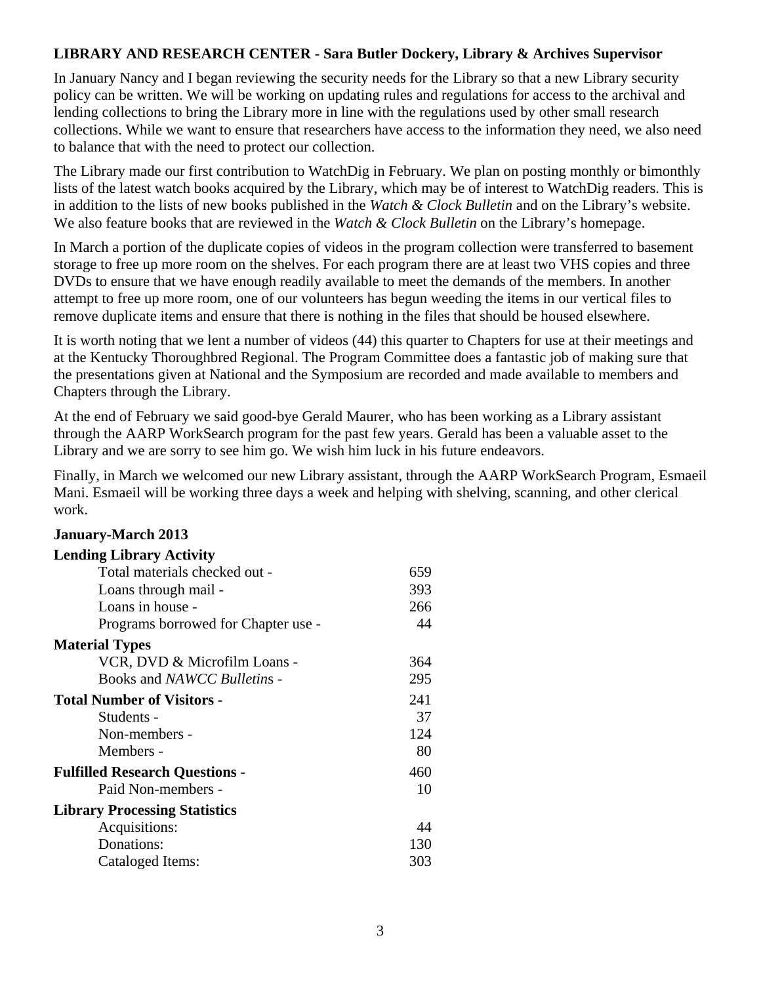#### **LIBRARY AND RESEARCH CENTER - Sara Butler Dockery, Library & Archives Supervisor**

In January Nancy and I began reviewing the security needs for the Library so that a new Library security policy can be written. We will be working on updating rules and regulations for access to the archival and lending collections to bring the Library more in line with the regulations used by other small research collections. While we want to ensure that researchers have access to the information they need, we also need to balance that with the need to protect our collection.

The Library made our first contribution to WatchDig in February. We plan on posting monthly or bimonthly lists of the latest watch books acquired by the Library, which may be of interest to WatchDig readers. This is in addition to the lists of new books published in the *Watch & Clock Bulletin* and on the Library's website. We also feature books that are reviewed in the *Watch & Clock Bulletin* on the Library's homepage.

In March a portion of the duplicate copies of videos in the program collection were transferred to basement storage to free up more room on the shelves. For each program there are at least two VHS copies and three DVDs to ensure that we have enough readily available to meet the demands of the members. In another attempt to free up more room, one of our volunteers has begun weeding the items in our vertical files to remove duplicate items and ensure that there is nothing in the files that should be housed elsewhere.

It is worth noting that we lent a number of videos (44) this quarter to Chapters for use at their meetings and at the Kentucky Thoroughbred Regional. The Program Committee does a fantastic job of making sure that the presentations given at National and the Symposium are recorded and made available to members and Chapters through the Library.

At the end of February we said good-bye Gerald Maurer, who has been working as a Library assistant through the AARP WorkSearch program for the past few years. Gerald has been a valuable asset to the Library and we are sorry to see him go. We wish him luck in his future endeavors.

Finally, in March we welcomed our new Library assistant, through the AARP WorkSearch Program, Esmaeil Mani. Esmaeil will be working three days a week and helping with shelving, scanning, and other clerical work.

# **January-March 2013 Lending Library Activity**  Total materials checked out - 659 Loans through mail - 393 Loans in house - 266 Programs borrowed for Chapter use - 44 **Material Types** VCR, DVD & Microfilm Loans - 364 Books and *NAWCC Bulletin*s - 295 **Total Number of Visitors -** 241 Students - 37 Non-members - 124 Members - 80 **Fulfilled Research Questions -**  $460$ Paid Non-members - 10 **Library Processing Statistics**  Acquisitions: 44 Donations: 130 Cataloged Items: 303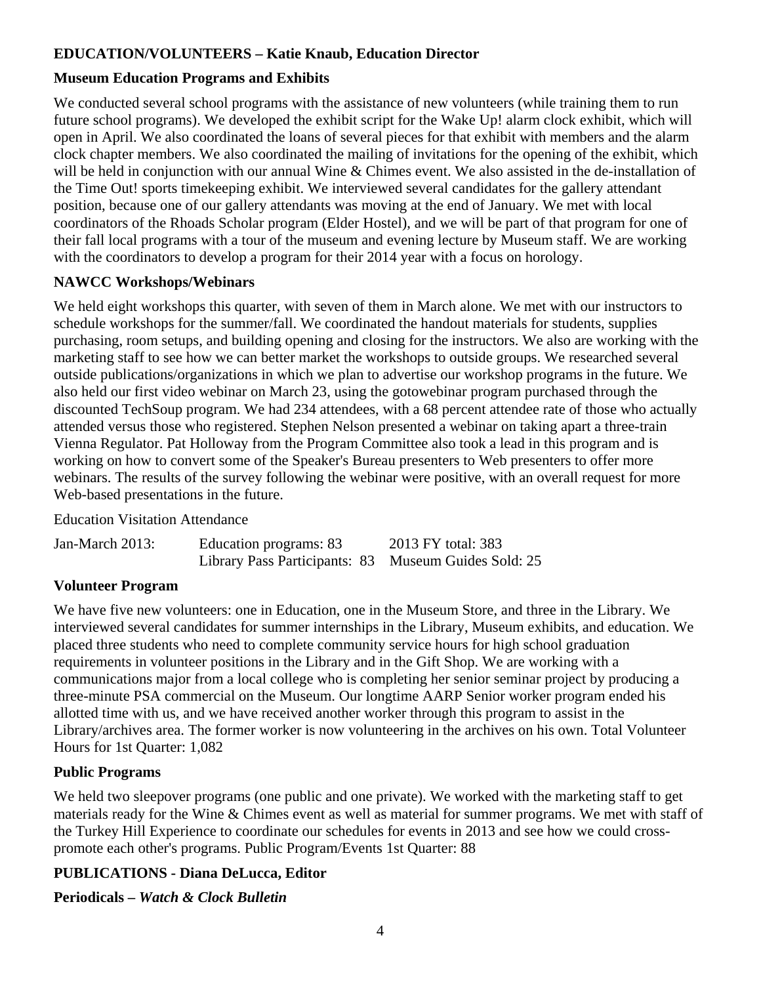# **EDUCATION/VOLUNTEERS – Katie Knaub, Education Director**

## **Museum Education Programs and Exhibits**

We conducted several school programs with the assistance of new volunteers (while training them to run future school programs). We developed the exhibit script for the Wake Up! alarm clock exhibit, which will open in April. We also coordinated the loans of several pieces for that exhibit with members and the alarm clock chapter members. We also coordinated the mailing of invitations for the opening of the exhibit, which will be held in conjunction with our annual Wine & Chimes event. We also assisted in the de-installation of the Time Out! sports timekeeping exhibit. We interviewed several candidates for the gallery attendant position, because one of our gallery attendants was moving at the end of January. We met with local coordinators of the Rhoads Scholar program (Elder Hostel), and we will be part of that program for one of their fall local programs with a tour of the museum and evening lecture by Museum staff. We are working with the coordinators to develop a program for their 2014 year with a focus on horology.

#### **NAWCC Workshops/Webinars**

We held eight workshops this quarter, with seven of them in March alone. We met with our instructors to schedule workshops for the summer/fall. We coordinated the handout materials for students, supplies purchasing, room setups, and building opening and closing for the instructors. We also are working with the marketing staff to see how we can better market the workshops to outside groups. We researched several outside publications/organizations in which we plan to advertise our workshop programs in the future. We also held our first video webinar on March 23, using the gotowebinar program purchased through the discounted TechSoup program. We had 234 attendees, with a 68 percent attendee rate of those who actually attended versus those who registered. Stephen Nelson presented a webinar on taking apart a three-train Vienna Regulator. Pat Holloway from the Program Committee also took a lead in this program and is working on how to convert some of the Speaker's Bureau presenters to Web presenters to offer more webinars. The results of the survey following the webinar were positive, with an overall request for more Web-based presentations in the future.

Education Visitation Attendance

| Jan-March 2013: | Education programs: 83                               | 2013 FY total: 383 |
|-----------------|------------------------------------------------------|--------------------|
|                 | Library Pass Participants: 83 Museum Guides Sold: 25 |                    |

## **Volunteer Program**

We have five new volunteers: one in Education, one in the Museum Store, and three in the Library. We interviewed several candidates for summer internships in the Library, Museum exhibits, and education. We placed three students who need to complete community service hours for high school graduation requirements in volunteer positions in the Library and in the Gift Shop. We are working with a communications major from a local college who is completing her senior seminar project by producing a three-minute PSA commercial on the Museum. Our longtime AARP Senior worker program ended his allotted time with us, and we have received another worker through this program to assist in the Library/archives area. The former worker is now volunteering in the archives on his own. Total Volunteer Hours for 1st Quarter: 1,082

## **Public Programs**

We held two sleepover programs (one public and one private). We worked with the marketing staff to get materials ready for the Wine & Chimes event as well as material for summer programs. We met with staff of the Turkey Hill Experience to coordinate our schedules for events in 2013 and see how we could crosspromote each other's programs. Public Program/Events 1st Quarter: 88

## **PUBLICATIONS - Diana DeLucca, Editor**

**Periodicals –** *Watch & Clock Bulletin*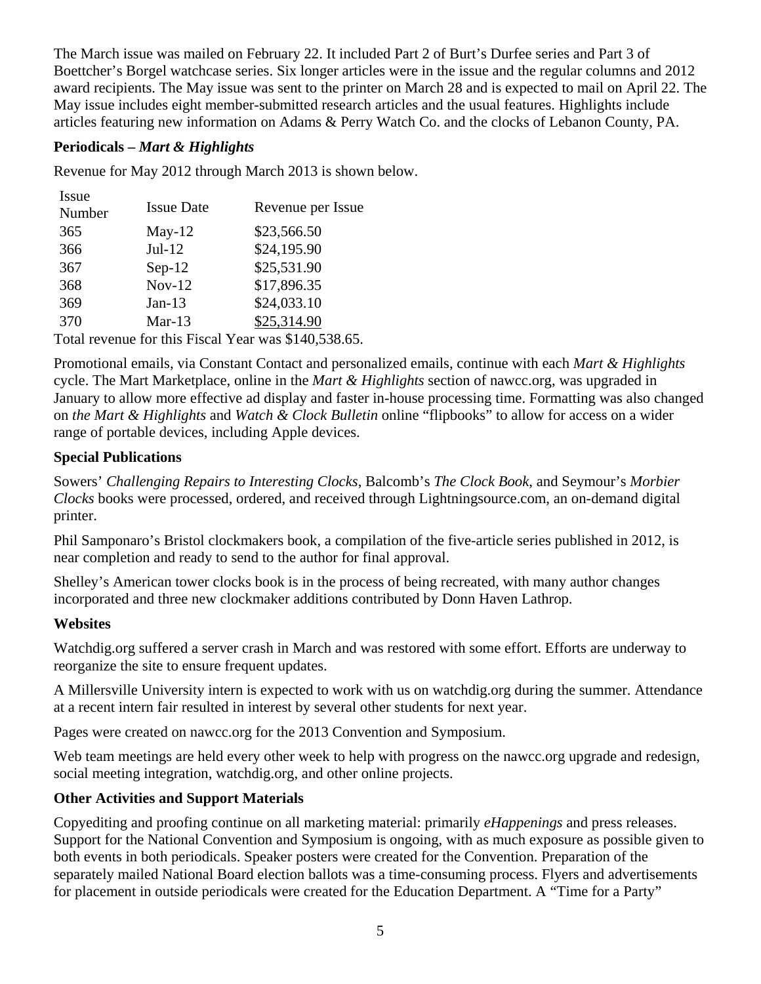The March issue was mailed on February 22. It included Part 2 of Burt's Durfee series and Part 3 of Boettcher's Borgel watchcase series. Six longer articles were in the issue and the regular columns and 2012 award recipients. The May issue was sent to the printer on March 28 and is expected to mail on April 22. The May issue includes eight member-submitted research articles and the usual features. Highlights include articles featuring new information on Adams & Perry Watch Co. and the clocks of Lebanon County, PA.

#### **Periodicals –** *Mart & Highlights*

Revenue for May 2012 through March 2013 is shown below.

| Issue  |                   |                                                      |
|--------|-------------------|------------------------------------------------------|
| Number | <b>Issue Date</b> | Revenue per Issue                                    |
| 365    | $May-12$          | \$23,566.50                                          |
| 366    | $Jul-12$          | \$24,195.90                                          |
| 367    | $Sep-12$          | \$25,531.90                                          |
| 368    | $Nov-12$          | \$17,896.35                                          |
| 369    | $Jan-13$          | \$24,033.10                                          |
| 370    | Mar-13            | \$25,314.90                                          |
|        |                   | Total revenue for this Fiscal Year was \$140,538.65. |

Promotional emails, via Constant Contact and personalized emails, continue with each *Mart & Highlights*  cycle. The Mart Marketplace, online in the *Mart & Highlights* section of nawcc.org, was upgraded in January to allow more effective ad display and faster in-house processing time. Formatting was also changed on *the Mart & Highlights* and *Watch & Clock Bulletin* online "flipbooks" to allow for access on a wider range of portable devices, including Apple devices.

## **Special Publications**

Sowers' *Challenging Repairs to Interesting Clocks*, Balcomb's *The Clock Book*, and Seymour's *Morbier Clocks* books were processed, ordered, and received through Lightningsource.com, an on-demand digital printer.

Phil Samponaro's Bristol clockmakers book, a compilation of the five-article series published in 2012, is near completion and ready to send to the author for final approval.

Shelley's American tower clocks book is in the process of being recreated, with many author changes incorporated and three new clockmaker additions contributed by Donn Haven Lathrop.

## **Websites**

Watchdig.org suffered a server crash in March and was restored with some effort. Efforts are underway to reorganize the site to ensure frequent updates.

A Millersville University intern is expected to work with us on watchdig.org during the summer. Attendance at a recent intern fair resulted in interest by several other students for next year.

Pages were created on nawcc.org for the 2013 Convention and Symposium.

Web team meetings are held every other week to help with progress on the nawcc.org upgrade and redesign, social meeting integration, watchdig.org, and other online projects.

## **Other Activities and Support Materials**

Copyediting and proofing continue on all marketing material: primarily *eHappenings* and press releases. Support for the National Convention and Symposium is ongoing, with as much exposure as possible given to both events in both periodicals. Speaker posters were created for the Convention. Preparation of the separately mailed National Board election ballots was a time-consuming process. Flyers and advertisements for placement in outside periodicals were created for the Education Department. A "Time for a Party"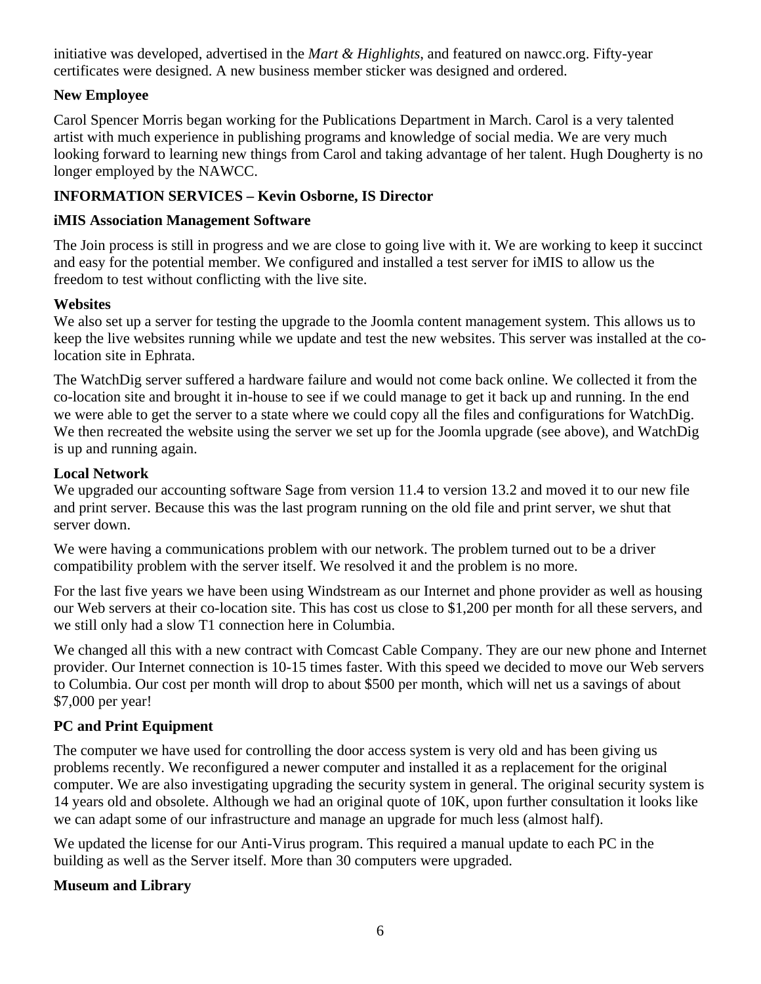initiative was developed, advertised in the *Mart & Highlights*, and featured on nawcc.org. Fifty-year certificates were designed. A new business member sticker was designed and ordered.

#### **New Employee**

Carol Spencer Morris began working for the Publications Department in March. Carol is a very talented artist with much experience in publishing programs and knowledge of social media. We are very much looking forward to learning new things from Carol and taking advantage of her talent. Hugh Dougherty is no longer employed by the NAWCC.

#### **INFORMATION SERVICES – Kevin Osborne, IS Director**

#### **iMIS Association Management Software**

The Join process is still in progress and we are close to going live with it. We are working to keep it succinct and easy for the potential member. We configured and installed a test server for iMIS to allow us the freedom to test without conflicting with the live site.

#### **Websites**

We also set up a server for testing the upgrade to the Joomla content management system. This allows us to keep the live websites running while we update and test the new websites. This server was installed at the colocation site in Ephrata.

The WatchDig server suffered a hardware failure and would not come back online. We collected it from the co-location site and brought it in-house to see if we could manage to get it back up and running. In the end we were able to get the server to a state where we could copy all the files and configurations for WatchDig. We then recreated the website using the server we set up for the Joomla upgrade (see above), and WatchDig is up and running again.

#### **Local Network**

We upgraded our accounting software Sage from version 11.4 to version 13.2 and moved it to our new file and print server. Because this was the last program running on the old file and print server, we shut that server down.

We were having a communications problem with our network. The problem turned out to be a driver compatibility problem with the server itself. We resolved it and the problem is no more.

For the last five years we have been using Windstream as our Internet and phone provider as well as housing our Web servers at their co-location site. This has cost us close to \$1,200 per month for all these servers, and we still only had a slow T1 connection here in Columbia.

We changed all this with a new contract with Comcast Cable Company. They are our new phone and Internet provider. Our Internet connection is 10-15 times faster. With this speed we decided to move our Web servers to Columbia. Our cost per month will drop to about \$500 per month, which will net us a savings of about \$7,000 per year!

#### **PC and Print Equipment**

The computer we have used for controlling the door access system is very old and has been giving us problems recently. We reconfigured a newer computer and installed it as a replacement for the original computer. We are also investigating upgrading the security system in general. The original security system is 14 years old and obsolete. Although we had an original quote of 10K, upon further consultation it looks like we can adapt some of our infrastructure and manage an upgrade for much less (almost half).

We updated the license for our Anti-Virus program. This required a manual update to each PC in the building as well as the Server itself. More than 30 computers were upgraded.

#### **Museum and Library**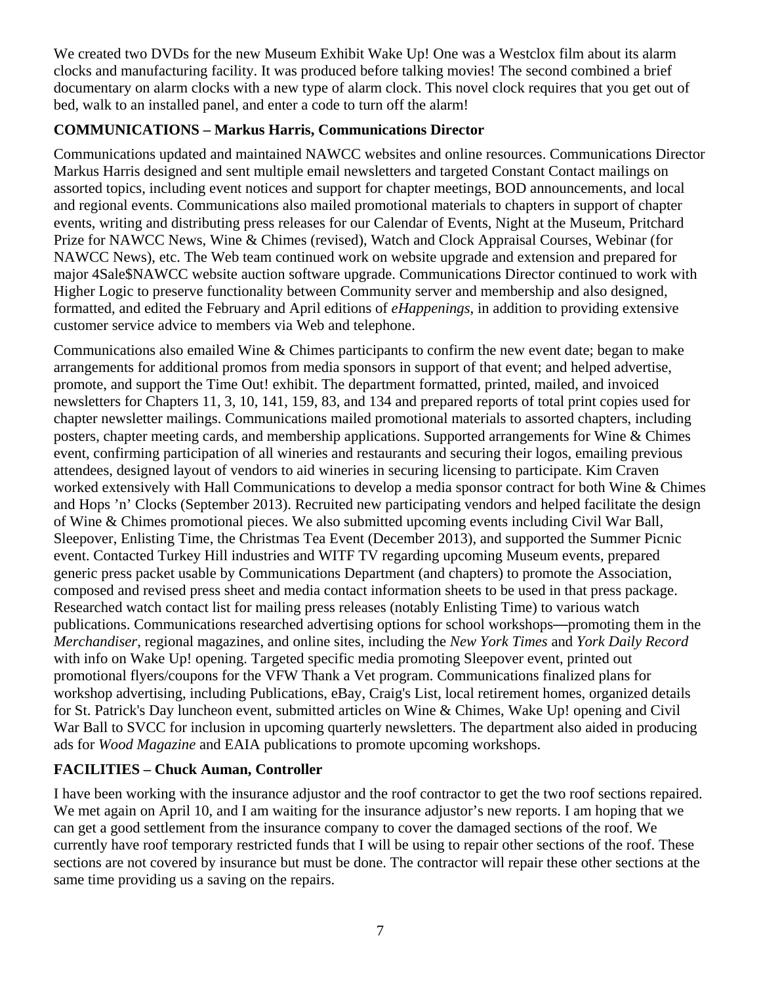We created two DVDs for the new Museum Exhibit Wake Up! One was a Westclox film about its alarm clocks and manufacturing facility. It was produced before talking movies! The second combined a brief documentary on alarm clocks with a new type of alarm clock. This novel clock requires that you get out of bed, walk to an installed panel, and enter a code to turn off the alarm!

## **COMMUNICATIONS – Markus Harris, Communications Director**

Communications updated and maintained NAWCC websites and online resources. Communications Director Markus Harris designed and sent multiple email newsletters and targeted Constant Contact mailings on assorted topics, including event notices and support for chapter meetings, BOD announcements, and local and regional events. Communications also mailed promotional materials to chapters in support of chapter events, writing and distributing press releases for our Calendar of Events, Night at the Museum, Pritchard Prize for NAWCC News, Wine & Chimes (revised), Watch and Clock Appraisal Courses, Webinar (for NAWCC News), etc. The Web team continued work on website upgrade and extension and prepared for major 4Sale\$NAWCC website auction software upgrade. Communications Director continued to work with Higher Logic to preserve functionality between Community server and membership and also designed, formatted, and edited the February and April editions of *eHappenings*, in addition to providing extensive customer service advice to members via Web and telephone.

Communications also emailed Wine & Chimes participants to confirm the new event date; began to make arrangements for additional promos from media sponsors in support of that event; and helped advertise, promote, and support the Time Out! exhibit. The department formatted, printed, mailed, and invoiced newsletters for Chapters 11, 3, 10, 141, 159, 83, and 134 and prepared reports of total print copies used for chapter newsletter mailings. Communications mailed promotional materials to assorted chapters, including posters, chapter meeting cards, and membership applications. Supported arrangements for Wine & Chimes event, confirming participation of all wineries and restaurants and securing their logos, emailing previous attendees, designed layout of vendors to aid wineries in securing licensing to participate. Kim Craven worked extensively with Hall Communications to develop a media sponsor contract for both Wine & Chimes and Hops 'n' Clocks (September 2013). Recruited new participating vendors and helped facilitate the design of Wine & Chimes promotional pieces. We also submitted upcoming events including Civil War Ball, Sleepover, Enlisting Time, the Christmas Tea Event (December 2013), and supported the Summer Picnic event. Contacted Turkey Hill industries and WITF TV regarding upcoming Museum events, prepared generic press packet usable by Communications Department (and chapters) to promote the Association, composed and revised press sheet and media contact information sheets to be used in that press package. Researched watch contact list for mailing press releases (notably Enlisting Time) to various watch publications. Communications researched advertising options for school workshops—promoting them in the *Merchandiser*, regional magazines, and online sites, including the *New York Times* and *York Daily Record* with info on Wake Up! opening. Targeted specific media promoting Sleepover event, printed out promotional flyers/coupons for the VFW Thank a Vet program. Communications finalized plans for workshop advertising, including Publications, eBay, Craig's List, local retirement homes, organized details for St. Patrick's Day luncheon event, submitted articles on Wine & Chimes, Wake Up! opening and Civil War Ball to SVCC for inclusion in upcoming quarterly newsletters. The department also aided in producing ads for *Wood Magazine* and EAIA publications to promote upcoming workshops.

## **FACILITIES – Chuck Auman, Controller**

I have been working with the insurance adjustor and the roof contractor to get the two roof sections repaired. We met again on April 10, and I am waiting for the insurance adjustor's new reports. I am hoping that we can get a good settlement from the insurance company to cover the damaged sections of the roof. We currently have roof temporary restricted funds that I will be using to repair other sections of the roof. These sections are not covered by insurance but must be done. The contractor will repair these other sections at the same time providing us a saving on the repairs.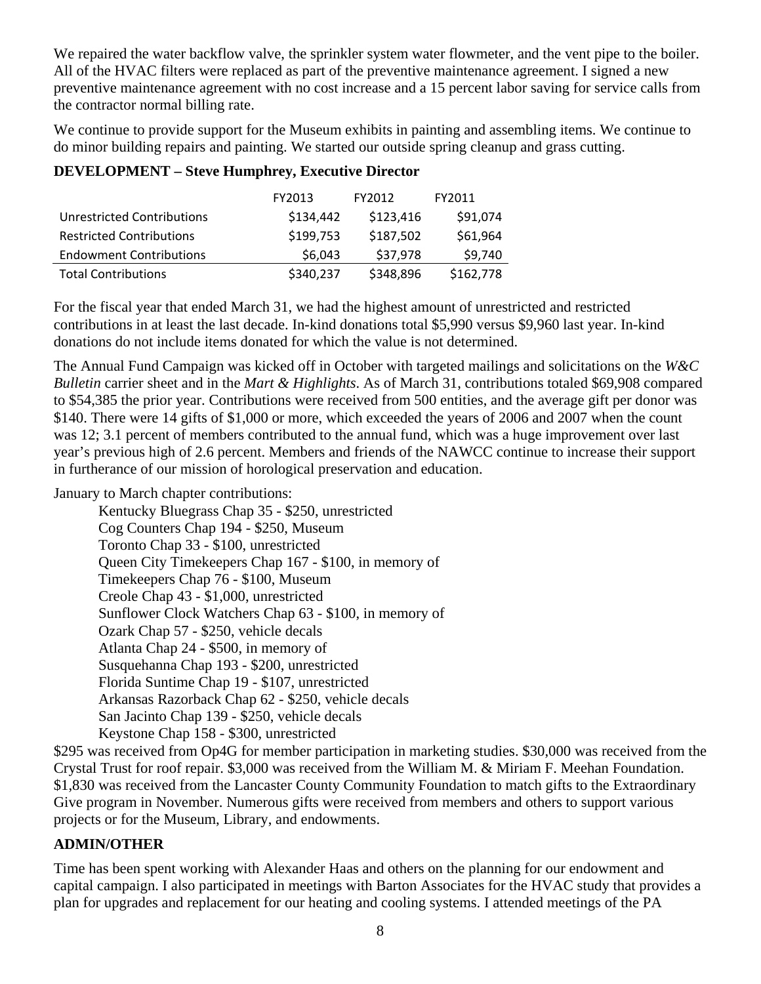We repaired the water backflow valve, the sprinkler system water flowmeter, and the vent pipe to the boiler. All of the HVAC filters were replaced as part of the preventive maintenance agreement. I signed a new preventive maintenance agreement with no cost increase and a 15 percent labor saving for service calls from the contractor normal billing rate.

We continue to provide support for the Museum exhibits in painting and assembling items. We continue to do minor building repairs and painting. We started our outside spring cleanup and grass cutting.

# **DEVELOPMENT – Steve Humphrey, Executive Director**

|                                   | FY2013    | FY2012    | FY2011    |
|-----------------------------------|-----------|-----------|-----------|
| <b>Unrestricted Contributions</b> | \$134,442 | \$123,416 | \$91,074  |
| <b>Restricted Contributions</b>   | \$199,753 | \$187,502 | \$61,964  |
| <b>Endowment Contributions</b>    | \$6,043   | \$37,978  | \$9,740   |
| <b>Total Contributions</b>        | \$340,237 | \$348,896 | \$162,778 |

For the fiscal year that ended March 31, we had the highest amount of unrestricted and restricted contributions in at least the last decade. In-kind donations total \$5,990 versus \$9,960 last year. In-kind donations do not include items donated for which the value is not determined.

The Annual Fund Campaign was kicked off in October with targeted mailings and solicitations on the *W&C Bulletin* carrier sheet and in the *Mart & Highlights*. As of March 31, contributions totaled \$69,908 compared to \$54,385 the prior year. Contributions were received from 500 entities, and the average gift per donor was \$140. There were 14 gifts of \$1,000 or more, which exceeded the years of 2006 and 2007 when the count was 12; 3.1 percent of members contributed to the annual fund, which was a huge improvement over last year's previous high of 2.6 percent. Members and friends of the NAWCC continue to increase their support in furtherance of our mission of horological preservation and education.

January to March chapter contributions:

 Kentucky Bluegrass Chap 35 - \$250, unrestricted Cog Counters Chap 194 - \$250, Museum Toronto Chap 33 - \$100, unrestricted Queen City Timekeepers Chap 167 - \$100, in memory of Timekeepers Chap 76 - \$100, Museum Creole Chap 43 - \$1,000, unrestricted Sunflower Clock Watchers Chap 63 - \$100, in memory of Ozark Chap 57 - \$250, vehicle decals Atlanta Chap 24 - \$500, in memory of Susquehanna Chap 193 - \$200, unrestricted Florida Suntime Chap 19 - \$107, unrestricted Arkansas Razorback Chap 62 - \$250, vehicle decals San Jacinto Chap 139 - \$250, vehicle decals Keystone Chap 158 - \$300, unrestricted

\$295 was received from Op4G for member participation in marketing studies. \$30,000 was received from the Crystal Trust for roof repair. \$3,000 was received from the William M. & Miriam F. Meehan Foundation. \$1,830 was received from the Lancaster County Community Foundation to match gifts to the Extraordinary Give program in November. Numerous gifts were received from members and others to support various projects or for the Museum, Library, and endowments.

## **ADMIN/OTHER**

Time has been spent working with Alexander Haas and others on the planning for our endowment and capital campaign. I also participated in meetings with Barton Associates for the HVAC study that provides a plan for upgrades and replacement for our heating and cooling systems. I attended meetings of the PA